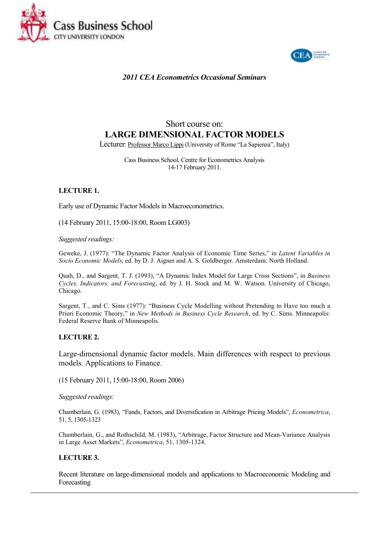



*2011 CEA Econometrics Occasional Seminars* 

# Short course on: **LARGE DIMENSIONAL FACTOR MODELS**

Lecturer: Professor Marco Lippi (University of Rome "La Sapienza", Italy)

Cass Business School, Centre for Econometrics Analysis 14-17 February 2011.

## **LECTURE 1.**

Early use of Dynamic Factor Models in Macroeconometrics.

(14 February 2011, 15:00-18:00, Room LG003)

## *Suggested readings:*

Geweke, J. (1977): "The Dynamic Factor Analysis of Economic Time Series," in *Latent Variables in Socio Economic Models*, ed. by D. J. Aigner and A. S. Goldberger. Amsterdam: North Holland.

Quah, D., and Sargent, T. J. (1993), "A Dynamic Index Model for Large Cross Sections", in *Business Cycles, Indicators, and Forecasting*, ed. by J. H. Stock and M. W. Watson. University of Chicago, Chicago.

Sargent, T., and C. Sims (1977): "Business Cycle Modelling without Pretending to Have too much a Priori Economic Theory," in *New Methods in Business Cycle Research*, ed. by C. Sims. Minneapolis: Federal Reserve Bank of Minneapolis.

## **LECTURE 2.**

Large-dimensional dynamic factor models. Main differences with respect to previous models. Applications to Finance.

(15 February 2011, 15:00-18:00, Room 2006)

*Suggested readings:* 

Chamberlain, G. (1983), "Funds, Factors, and Diversification in Arbitrage Pricing Models", *Econometrica*, 51, 5, 1305-1323

Chamberlain, G., and Rothschild, M. (1983), "Arbitrage, Factor Structure and Mean-Variance Analysis in Large Asset Markets", *Econometrica*, 51, 1305-1324.

## **LECTURE 3.**

Recent literature on large-dimensional models and applications to Macroeconomic Modeling and Forecasting